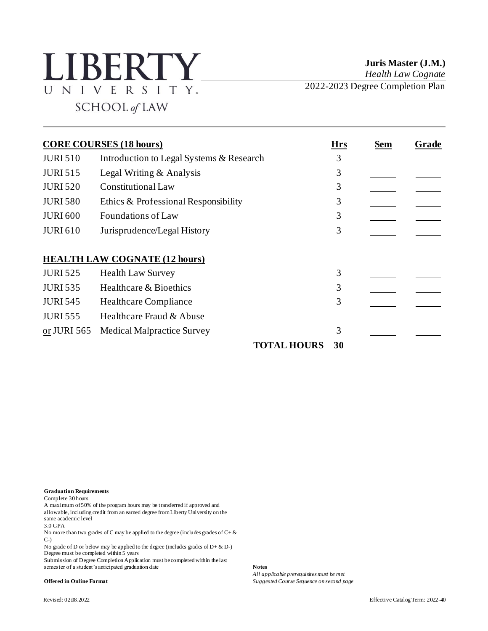## **LIBERTY** UNIVERSITY. SCHOOL of LAW

**Juris Master (J.M.)** *Health Law Cognate*

2022-2023 Degree Completion Plan

|                 | <b>CORE COURSES (18 hours)</b>           | <b>Hrs</b> | Sem | Grade |
|-----------------|------------------------------------------|------------|-----|-------|
| <b>JURI 510</b> | Introduction to Legal Systems & Research | 3          |     |       |
| <b>JURI 515</b> | Legal Writing & Analysis                 | 3          |     |       |
| <b>JURI 520</b> | <b>Constitutional Law</b>                | 3          |     |       |
| <b>JURI 580</b> | Ethics & Professional Responsibility     | 3          |     |       |
| <b>JURI 600</b> | <b>Foundations of Law</b>                | 3          |     |       |
| <b>JURI 610</b> | Jurisprudence/Legal History              | 3          |     |       |
|                 |                                          |            |     |       |
|                 | <b>HEALTH LAW COGNATE (12 hours)</b>     |            |     |       |
| <b>JURI 525</b> | <b>Health Law Survey</b>                 | 3          |     |       |
| <b>JURI 535</b> | Healthcare & Bioethics                   | 3          |     |       |
| <b>JURI 545</b> | <b>Healthcare Compliance</b>             | 3          |     |       |
| <b>JURI 555</b> | Healthcare Fraud & Abuse                 |            |     |       |
| or JURI 565     | <b>Medical Malpractice Survey</b>        | 3          |     |       |
|                 | <b>TOTAL HOURS</b>                       | 30         |     |       |

**Graduation Requirements**

Complete 30 hours

A maximum of 50% of the program hours may be transferred if approved and allowable, including credit from an earned degree from Liberty University on the same academic level

3.0 GPA

No more than two grades of C may be applied to the degree (includes grades of  $C + \&$ C-)

No grade of D or below may be applied to the degree (includes grades of  $D + \& D$ -) Degree must be completed within  $\overline{5}$  years

Submission of Degree Completion Application must be completed within the last semester of a student's anticipated graduation date **Notes**

*All applicable prerequisites must be met* **Offered in Online Format** *Suggested Course Sequence on second page*